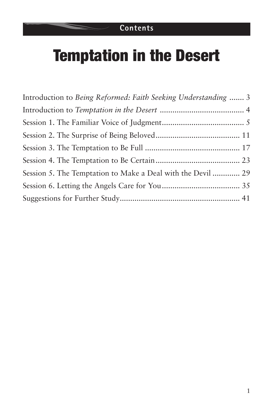# Temptation in the Desert

| Introduction to Being Reformed: Faith Seeking Understanding  3 |  |
|----------------------------------------------------------------|--|
|                                                                |  |
|                                                                |  |
|                                                                |  |
|                                                                |  |
|                                                                |  |
| Session 5. The Temptation to Make a Deal with the Devil  29    |  |
|                                                                |  |
|                                                                |  |
|                                                                |  |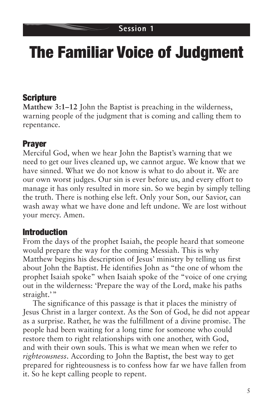# The Familiar Voice of Judgment

## Scripture

**Matthew 3:1–12** John the Baptist is preaching in the wilderness, warning people of the judgment that is coming and calling them to repentance.

## Prayer

Merciful God, when we hear John the Baptist's warning that we need to get our lives cleaned up, we cannot argue. We know that we have sinned. What we do not know is what to do about it. We are our own worst judges. Our sin is ever before us, and every effort to manage it has only resulted in more sin. So we begin by simply telling the truth. There is nothing else left. Only your Son, our Savior, can wash away what we have done and left undone. We are lost without your mercy. Amen.

### Introduction

From the days of the prophet Isaiah, the people heard that someone would prepare the way for the coming Messiah. This is why Matthew begins his description of Jesus' ministry by telling us first about John the Baptist. He identifies John as "the one of whom the prophet Isaiah spoke" when Isaiah spoke of the "voice of one crying out in the wilderness: 'Prepare the way of the Lord, make his paths straight.'"

The significance of this passage is that it places the ministry of Jesus Christ in a larger context. As the Son of God, he did not appear as a surprise. Rather, he was the fulfillment of a divine promise. The people had been waiting for a long time for someone who could restore them to right relationships with one another, with God, and with their own souls. This is what we mean when we refer to *righteousness*. According to John the Baptist, the best way to get prepared for righteousness is to confess how far we have fallen from it. So he kept calling people to repent.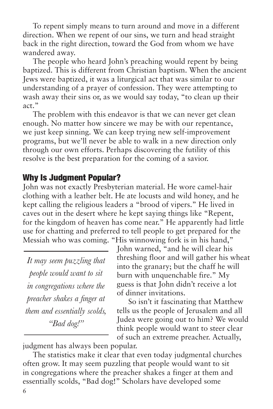To repent simply means to turn around and move in a different direction. When we repent of our sins, we turn and head straight back in the right direction, toward the God from whom we have wandered away.

The people who heard John's preaching would repent by being baptized. This is different from Christian baptism. When the ancient Jews were baptized, it was a liturgical act that was similar to our understanding of a prayer of confession. They were attempting to wash away their sins or, as we would say today, "to clean up their act."

The problem with this endeavor is that we can never get clean enough. No matter how sincere we may be with our repentance, we just keep sinning. We can keep trying new self-improvement programs, but we'll never be able to walk in a new direction only through our own efforts. Perhaps discovering the futility of this resolve is the best preparation for the coming of a savior.

## Why Is Judgment Popular?

John was not exactly Presbyterian material. He wore camel-hair clothing with a leather belt. He ate locusts and wild honey, and he kept calling the religious leaders a "brood of vipers." He lived in caves out in the desert where he kept saying things like "Repent, for the kingdom of heaven has come near." He apparently had little use for chatting and preferred to tell people to get prepared for the Messiah who was coming. "His winnowing fork is in his hand,"

*It may seem puzzling that people would want to sit in congregations where the preacher shakes a finger at them and essentially scolds, "Bad dog!"*

John warned, "and he will clear his threshing floor and will gather his wheat into the granary; but the chaff he will burn with unquenchable fire." My guess is that John didn't receive a lot of dinner invitations.

So isn't it fascinating that Matthew tells us the people of Jerusalem and all Judea were going out to him? We would think people would want to steer clear of such an extreme preacher. Actually,

judgment has always been popular.

The statistics make it clear that even today judgmental churches often grow. It may seem puzzling that people would want to sit in congregations where the preacher shakes a finger at them and essentially scolds, "Bad dog!" Scholars have developed some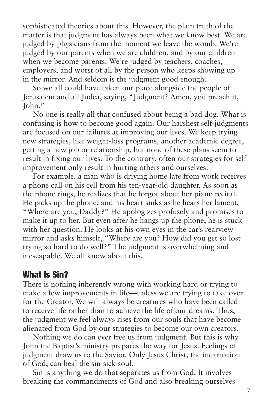sophisticated theories about this. However, the plain truth of the matter is that judgment has always been what we know best. We are judged by physicians from the moment we leave the womb. We're judged by our parents when we are children, and by our children when we become parents. We're judged by teachers, coaches, employers, and worst of all by the person who keeps showing up in the mirror. And seldom is the judgment good enough.

So we all could have taken our place alongside the people of Jerusalem and all Judea, saying, "Judgment? Amen, you preach it, John."

No one is really all that confused about being a bad dog. What is confusing is how to become good again. Our harshest self-judgments are focused on our failures at improving our lives. We keep trying new strategies, like weight-loss programs, another academic degree, getting a new job or relationship, but none of these plans seem to result in fixing our lives. To the contrary, often our strategies for selfimprovement only result in hurting others and ourselves.

For example, a man who is driving home late from work receives a phone call on his cell from his ten-year-old daughter. As soon as the phone rings, he realizes that he forgot about her piano recital. He picks up the phone, and his heart sinks as he hears her lament, "Where are you, Daddy?" He apologizes profusely and promises to make it up to her. But even after he hangs up the phone, he is stuck with her question. He looks at his own eyes in the car's rearview mirror and asks himself, "Where are you? How did you get so lost trying so hard to do well?" The judgment is overwhelming and inescapable. We all know about this.

#### What Is Sin?

There is nothing inherently wrong with working hard or trying to make a few improvements in life—unless we are trying to take over for the Creator. We will always be creatures who have been called to receive life rather than to achieve the life of our dreams. Thus, the judgment we feel always rises from our souls that have become alienated from God by our strategies to become our own creators.

Nothing we do can ever free us from judgment. But this is why John the Baptist's ministry prepares the way for Jesus. Feelings of judgment draw us to the Savior. Only Jesus Christ, the incarnation of God, can heal the sin-sick soul.

Sin is anything we do that separates us from God. It involves breaking the commandments of God and also breaking ourselves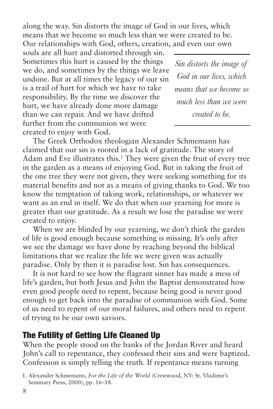along the way. Sin distorts the image of God in our lives, which means that we become so much less than we were created to be. Our relationships with God, others, creation, and even our own

souls are all hurt and distorted through sin. Sometimes this hurt is caused by the things we do, and sometimes by the things we leave undone. But at all times the legacy of our sin is a trail of hurt for which we have to take responsibility. By the time we discover the hurt, we have already done more damage than we can repair. And we have drifted further from the communion we were created to enjoy with God.

*Sin distorts the image of God in our lives, which means that we become so much less than we were created to be.*

The Greek Orthodox theologian Alexander Schmemann has claimed that our sin is rooted in a lack of gratitude. The story of Adam and Eve illustrates this.<sup>1</sup> They were given the fruit of every tree in the garden as a means of enjoying God. But in taking the fruit of the one tree they were not given, they were seeking something for its material benefits and not as a means of giving thanks to God. We too know the temptation of taking work, relationships, or whatever we want as an end in itself. We do that when our yearning for more is greater than our gratitude. As a result we lose the paradise we were created to enjoy.

When we are blinded by our yearning, we don't think the garden of life is good enough because something is missing. It's only after we see the damage we have done by reaching beyond the biblical limitations that we realize the life we were given was actually paradise. Only by then it is paradise lost. Sin has consequences.

It is not hard to see how the flagrant sinner has made a mess of life's garden, but both Jesus and John the Baptist demonstrated how even good people need to repent, because being good is never good enough to get back into the paradise of communion with God. Some of us need to repent of our moral failures, and others need to repent of trying to be our own saviors.

### The Futility of Getting Life Cleaned Up

When the people stood on the banks of the Jordan River and heard John's call to repentance, they confessed their sins and were baptized. Confession is simply telling the truth. If repentance means turning

<sup>1.</sup> Alexander Schmemann, *For the Life of the World* (Crestwood, NY: St. Vladimir's Seminary Press, 2000), pp. 16–18.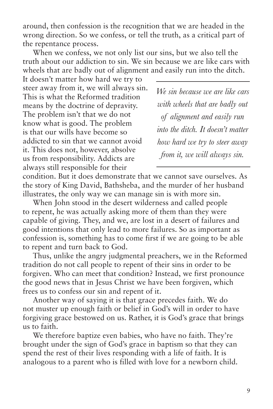around, then confession is the recognition that we are headed in the wrong direction. So we confess, or tell the truth, as a critical part of the repentance process.

When we confess, we not only list our sins, but we also tell the truth about our addiction to sin. We sin because we are like cars with wheels that are badly out of alignment and easily run into the ditch.

It doesn't matter how hard we try to steer away from it, we will always sin. This is what the Reformed tradition means by the doctrine of depravity. The problem isn't that we do not know what is good. The problem is that our wills have become so addicted to sin that we cannot avoid it. This does not, however, absolve us from responsibility. Addicts are always still responsible for their

*We sin because we are like cars with wheels that are badly out of alignment and easily run into the ditch. It doesn't matter how hard we try to steer away from it, we will always sin.*

condition. But it does demonstrate that we cannot save ourselves. As the story of King David, Bathsheba, and the murder of her husband illustrates, the only way we can manage sin is with more sin.

When John stood in the desert wilderness and called people to repent, he was actually asking more of them than they were capable of giving. They, and we, are lost in a desert of failures and good intentions that only lead to more failures. So as important as confession is, something has to come first if we are going to be able to repent and turn back to God.

Thus, unlike the angry judgmental preachers, we in the Reformed tradition do not call people to repent of their sins in order to be forgiven. Who can meet that condition? Instead, we first pronounce the good news that in Jesus Christ we have been forgiven, which frees us to confess our sin and repent of it.

Another way of saying it is that grace precedes faith. We do not muster up enough faith or belief in God's will in order to have forgiving grace bestowed on us. Rather, it is God's grace that brings us to faith.

We therefore baptize even babies, who have no faith. They're brought under the sign of God's grace in baptism so that they can spend the rest of their lives responding with a life of faith. It is analogous to a parent who is filled with love for a newborn child.